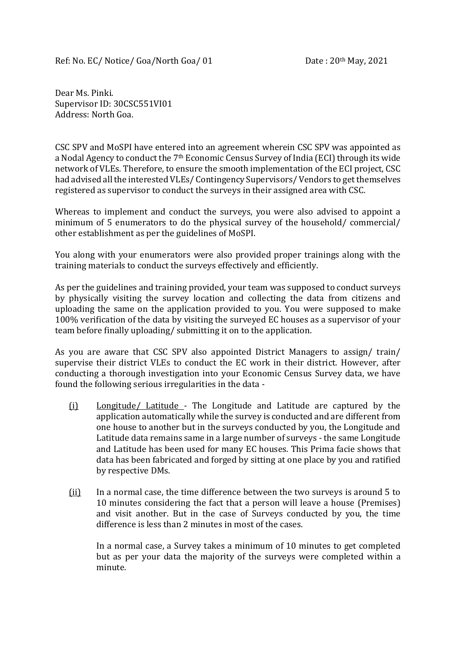Ref: No. EC/ Notice/ Goa/North Goa/ 01 Date : 20<sup>th</sup> May, 2021

Dear Ms. Pinki. Supervisor ID: 30CSC551VI01 Address: North Goa.

CSC SPV and MoSPI have entered into an agreement wherein CSC SPV was appointed as a Nodal Agency to conduct the 7th Economic Census Survey of India (ECI) through its wide network of VLEs. Therefore, to ensure the smooth implementation of the ECI project, CSC had advised all the interested VLEs/ Contingency Supervisors/ Vendors to get themselves registered as supervisor to conduct the surveys in their assigned area with CSC.

Whereas to implement and conduct the surveys, you were also advised to appoint a minimum of 5 enumerators to do the physical survey of the household/ commercial/ other establishment as per the guidelines of MoSPI.

You along with your enumerators were also provided proper trainings along with the training materials to conduct the surveys effectively and efficiently.

As per the guidelines and training provided, your team was supposed to conduct surveys by physically visiting the survey location and collecting the data from citizens and uploading the same on the application provided to you. You were supposed to make 100% verification of the data by visiting the surveyed EC houses as a supervisor of your team before finally uploading/ submitting it on to the application.

As you are aware that CSC SPV also appointed District Managers to assign/ train/ supervise their district VLEs to conduct the EC work in their district. However, after conducting a thorough investigation into your Economic Census Survey data, we have found the following serious irregularities in the data -

- (i) Longitude/ Latitude The Longitude and Latitude are captured by the application automatically while the survey is conducted and are different from one house to another but in the surveys conducted by you, the Longitude and Latitude data remains same in a large number of surveys - the same Longitude and Latitude has been used for many EC houses. This Prima facie shows that data has been fabricated and forged by sitting at one place by you and ratified by respective DMs.
- (ii) In a normal case, the time difference between the two surveys is around 5 to 10 minutes considering the fact that a person will leave a house (Premises) and visit another. But in the case of Surveys conducted by you, the time difference is less than 2 minutes in most of the cases.

In a normal case, a Survey takes a minimum of 10 minutes to get completed but as per your data the majority of the surveys were completed within a minute.